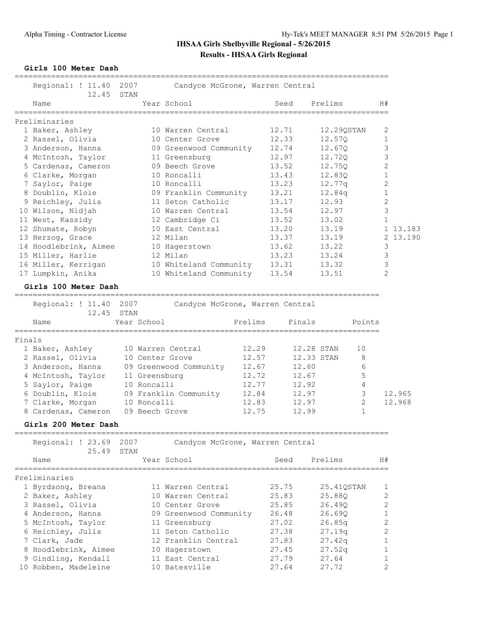#### **Girls 100 Meter Dash**

|        | Regional: ! 11.40<br>12.45                      | 2007<br>STAN    | Candyce McGrone, Warren Central  |         |                |                 |             |                |
|--------|-------------------------------------------------|-----------------|----------------------------------|---------|----------------|-----------------|-------------|----------------|
|        | Name                                            |                 | Year School                      |         | Seed           | Prelims         |             | H#             |
|        | Preliminaries                                   |                 |                                  |         |                |                 |             |                |
|        | 1 Baker, Ashley                                 |                 | 10 Warren Central                |         | 12.71          | 12.29QSTAN      |             | 2              |
|        | 2 Rassel, Olivia                                |                 | 10 Center Grove                  |         | 12.33          | 12.57Q          |             | $\mathbf{1}$   |
|        | 3 Anderson, Hanna                               |                 | 09 Greenwood Community           |         | 12.74          | 12.67Q          |             | 3              |
|        | 4 McIntosh, Taylor                              |                 | 11 Greensburg                    |         | 12.97          | 12.72Q          |             | 3              |
|        | 5 Cardenas, Cameron                             |                 | 09 Beech Grove                   |         | 13.52          | 12.75Q          |             | $\mathbf{2}$   |
|        | 6 Clarke, Morgan                                |                 | 10 Roncalli                      |         | 13.43          | 12.83Q          |             | $\mathbf 1$    |
|        | 7 Saylor, Paige                                 |                 | 10 Roncalli                      |         | 13.23          | 12.77q          |             | 2              |
|        | 8 Doublin, Kloie                                |                 | 09 Franklin Community            |         | 13.21          | 12.84q          |             | $\mathbf 1$    |
|        | 9 Reichley, Julia                               |                 | 11 Seton Catholic                |         | 13.17          | 12.93           |             | 2              |
|        | 10 Wilson, Nidjah                               |                 | 10 Warren Central                |         | 13.54          | 12.97           |             | 3              |
|        | 11 West, Kassidy                                |                 | 12 Cambridge Ci                  |         | 13.52          | 13.02           |             | $\mathbf{1}$   |
|        | 12 Shumate, Robyn                               |                 | 10 East Central                  |         | 13.20          | 13.19           |             | 1 13.183       |
|        | 13 Herzog, Grace                                |                 | 12 Milan                         |         | 13.37          | 13.19           |             | 2 13.190       |
|        | 14 Hoodlebrink, Aimee                           |                 | 10 Hagerstown                    |         | 13.62          | 13.22           |             | 3              |
|        | 15 Miller, Harlie                               |                 | 12 Milan                         |         | 13.23          | 13.24           |             | 3              |
|        | 16 Miller, Kerrigan                             |                 | 10 Whiteland Community           |         | 13.31          | 13.32           |             | 3              |
|        | 17 Lumpkin, Anika                               |                 | 10 Whiteland Community           |         | 13.54          | 13.51           |             | $\overline{2}$ |
|        |                                                 |                 |                                  |         |                |                 |             |                |
|        | Girls 100 Meter Dash<br>======================= |                 |                                  |         |                |                 |             |                |
|        | Regional: ! 11.40                               | 2007            | Candyce McGrone, Warren Central  |         |                |                 |             |                |
|        | 12.45                                           | STAN            |                                  |         |                |                 |             |                |
|        | Name                                            | Year School     |                                  | Prelims | Finals         |                 | Points      |                |
|        |                                                 |                 |                                  |         |                |                 |             |                |
| Finals |                                                 |                 |                                  |         |                |                 |             |                |
|        | 1 Baker, Ashley                                 |                 | 10 Warren Central                | 12.29   |                | 12.28 STAN      | 10          |                |
|        | 2 Rassel, Olivia                                | 10 Center Grove |                                  | 12.57   |                | 12.33 STAN      | 8           |                |
|        | 3 Anderson, Hanna                               |                 | 09 Greenwood Community           | 12.67   |                | 12.60           | 6           |                |
|        | 4 McIntosh, Taylor                              | 11 Greensburg   |                                  | 12.72   |                | 12.67           | 5           |                |
|        | 5 Saylor, Paige                                 | 10 Roncalli     |                                  | 12.77   |                | 12.92           | 4           |                |
|        | 6 Doublin, Kloie                                |                 | 09 Franklin Community            | 12.84   |                | 12.97           | 3           | 12.965         |
|        | 7 Clarke, Morgan                                | 10 Roncalli     |                                  | 12.83   |                | 12.97           | 2           | 12.968         |
|        | 8 Cardenas, Cameron                             | 09 Beech Grove  |                                  | 12.75   |                | 12.99           | $\mathbf 1$ |                |
|        | Girls 200 Meter Dash                            |                 |                                  |         |                |                 |             |                |
|        | -----------------------                         |                 |                                  |         |                | --------------- |             |                |
|        | Regional: ! 23.69                               | 2007            | Candyce McGrone, Warren Central  |         |                |                 |             |                |
|        | 25.49                                           | STAN            |                                  |         |                |                 |             |                |
|        | Name                                            |                 | Year School                      |         | Seed           | Prelims         |             | H#             |
|        | Preliminaries                                   |                 |                                  |         |                |                 |             |                |
|        | 1 Byrdsong, Breana                              |                 | 11 Warren Central                |         | 25.75          | 25.41QSTAN      |             | 1              |
|        | 2 Baker, Ashley                                 |                 | 10 Warren Central                |         | 25.83          | 25.880          |             | 2              |
|        | 3 Rassel, Olivia                                |                 | 10 Center Grove                  |         | 25.85          | 26.49Q          |             | 2              |
|        | 4 Anderson, Hanna                               |                 | 09 Greenwood Community           |         | 26.48          | 26.69Q          |             | 1              |
|        | 5 McIntosh, Taylor                              |                 | 11 Greensburg                    |         | 27.02          | 26.85q          |             | 2              |
|        | 6 Reichley, Julia                               |                 | 11 Seton Catholic                |         | 27.38          | 27.19q          |             | 2              |
|        | 7 Clark, Jade                                   |                 | 12 Franklin Central              |         | 27.83          | 27.42q          |             | 1              |
|        | 8 Hoodlebrink, Aimee                            |                 |                                  |         |                |                 |             | 1              |
|        | 9 Gindling, Kendall                             |                 | 10 Hagerstown<br>11 East Central |         | 27.45<br>27.79 | 27.52q<br>27.64 |             | 1              |
|        | 10 Robben, Madeleine                            |                 | 10 Batesville                    |         | 27.64          | 27.72           |             | 2              |
|        |                                                 |                 |                                  |         |                |                 |             |                |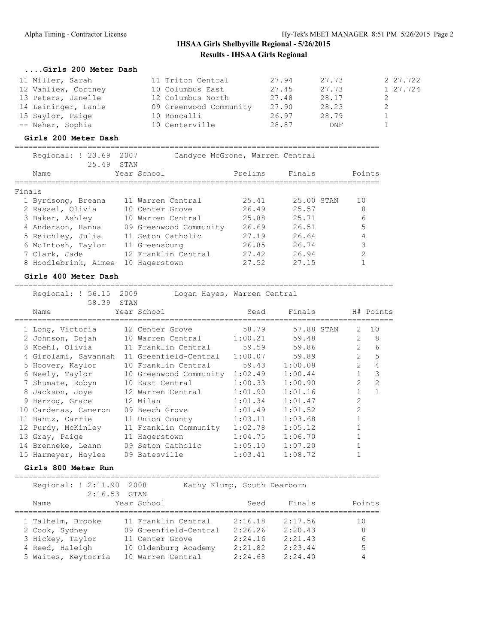#### **....Girls 200 Meter Dash**

| 11 Miller, Sarah    | 11 Triton Central      | 27.94 | 27.73 | 2 27.722 |
|---------------------|------------------------|-------|-------|----------|
| 12 Vanliew, Cortney | 10 Columbus East       | 27.45 | 27.73 | 1 27.724 |
| 13 Peters, Janelle  | 12 Columbus North      | 27.48 | 28.17 |          |
| 14 Leininger, Lanie | 09 Greenwood Community | 27.90 | 28.23 |          |
| 15 Saylor, Paige    | 10 Roncalli            | 26.97 | 28.79 |          |
| -- Neher, Sophia    | 10 Centerville         | 28.87 | DNF   |          |

## **Girls 200 Meter Dash**

|        | Regional: ! 23.69<br>25.49 STAN | 2007                |                        | Candyce McGrone, Warren Central |            |        |
|--------|---------------------------------|---------------------|------------------------|---------------------------------|------------|--------|
|        | Name                            | Year School         |                        | Prelims                         | Finals     | Points |
|        |                                 |                     |                        |                                 |            |        |
| Finals |                                 |                     |                        |                                 |            |        |
|        | 1 Byrdsong, Breana              | 11 Warren Central   |                        | 25.41                           | 25.00 STAN | 1 O    |
|        | 2 Rassel, Olivia                | 10 Center Grove     |                        | 26.49                           | 25.57      |        |
|        | 3 Baker, Ashley                 | 10 Warren Central   |                        | 25.88                           | 25.71      | 6      |
|        | 4 Anderson, Hanna               |                     | 09 Greenwood Community | 26.69                           | 26.51      |        |
|        | 5 Reichley, Julia               | 11 Seton Catholic   |                        | 27.19                           | 26.64      |        |
|        | 6 McIntosh, Taylor              | 11 Greensburg       |                        | 26.85                           | 26.74      |        |
|        | 7 Clark, Jade                   | 12 Franklin Central |                        | 27.42                           | 26.94      |        |
|        | 8 Hoodlebrink, Aimee            | 10 Hagerstown       |                        | 27.52                           | 27.15      |        |

#### **Girls 400 Meter Dash**

=================================================================================== Regional: ! 56.15 2009 Logan Hayes, Warren Central

| VANTONAT : 10.Th<br>58.39 STAN   | ここ こ し い シ | Loyan hayes, wallen central    |         |            |                |                |
|----------------------------------|------------|--------------------------------|---------|------------|----------------|----------------|
| Name                             |            | Year School                    | Seed    | Finals     |                | H# Points      |
| 1 Long, Victoria 12 Center Grove |            |                                | 58.79   | 57.88 STAN | 2              | 10             |
| 2 Johnson, Dejah                 |            | 10 Warren Central              | 1:00.21 | 59.48      | $\overline{2}$ | 8              |
| 3 Koehl, Olivia                  |            | 11 Franklin Central            | 59.59   | 59.86      | $\overline{2}$ | 6              |
| 4 Girolami, Savannah             |            | 11 Greenfield-Central          | 1:00.07 | 59.89      | $\overline{2}$ | 5              |
| 5 Hoover, Kaylor                 |            | 10 Franklin Central            | 59.43   | 1:00.08    | $\overline{2}$ | 4              |
| 6 Neely, Taylor                  |            | 10 Greenwood Community 1:02.49 |         | 1:00.44    | $\mathbf{1}$   | 3              |
| 7 Shumate, Robyn                 |            | 10 East Central                | 1:00.33 | 1:00.90    | $\mathcal{L}$  | $\mathcal{L}$  |
| 8 Jackson, Joye                  |            | 12 Warren Central              | 1:01.90 | 1:01.16    | $\mathbf{1}$   | $\overline{1}$ |
| 9 Herzog, Grace                  |            | 12 Milan                       | 1:01.34 | 1:01.47    | $\mathfrak{D}$ |                |
| 10 Cardenas, Cameron             |            | 09 Beech Grove                 | 1:01.49 | 1:01.52    | $\overline{2}$ |                |
| 11 Bantz, Carrie                 |            | 11 Union County                | 1:03.11 | 1:03.68    |                |                |
| 12 Purdy, McKinley               |            | 11 Franklin Community 1:02.78  |         | 1:05.12    |                |                |
| 13 Gray, Paige                   |            | 11 Hagerstown                  | 1:04.75 | 1:06.70    |                |                |
| 14 Brenneke, Leann               |            | 09 Seton Catholic              | 1:05.10 | 1:07.20    |                |                |
| 15 Harmeyer, Haylee              |            | 09 Batesville                  | 1:03.41 | 1:08.72    |                |                |

#### **Girls 800 Meter Run**

================================================================================ Regional: ! 2:11.90 2008 Kathy Klump, South Dearborn 2:16.53 STAN

| Name                | Year School           | Seed    | Finals  | Points |
|---------------------|-----------------------|---------|---------|--------|
| 1 Talhelm, Brooke   | 11 Franklin Central   | 2:16.18 | 2:17.56 | 10     |
| 2 Cook, Sydney      | 09 Greenfield-Central | 2:26.26 | 2:20.43 | 8      |
| 3 Hickey, Taylor    | 11 Center Grove       | 2:24.16 | 2:21.43 | 6      |
| 4 Reed, Haleigh     | 10 Oldenburg Academy  | 2:21.82 | 2:23.44 | 5      |
| 5 Waites, Keytorria | 10 Warren Central     | 2:24.68 | 2:24.40 | 4      |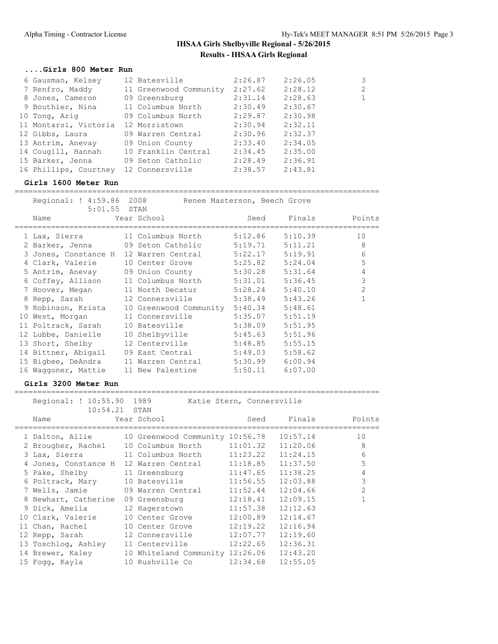## **....Girls 800 Meter Run**

| 6 Gausman, Kelsey                   | 12 Batesville                  | 2:26.87 | 2:26.05 | 3              |
|-------------------------------------|--------------------------------|---------|---------|----------------|
| 7 Renfro, Maddy                     | 11 Greenwood Community 2:27.62 |         | 2:28.12 | $\overline{2}$ |
| 8 Jones, Cameron                    | 09 Greensburg                  | 2:31.14 | 2:28.63 | $\mathbf{1}$   |
| 9 Bouthier, Nina                    | 11 Columbus North              | 2:30.49 | 2:30.67 |                |
| 10 Tong, Ariq                       | 09 Columbus North              | 2:29.87 | 2:30.98 |                |
| 11 Montarsi, Victoria 12 Morristown |                                | 2:30.94 | 2:32.11 |                |
| 12 Gibbs, Laura                     | 09 Warren Central              | 2:30.96 | 2:32.37 |                |
| 13 Antrim, Anevay                   | 09 Union County                | 2:33.40 | 2:34.05 |                |
| 14 Cougill, Hannah                  | 10 Franklin Central            | 2:34.45 | 2:35.00 |                |
| 15 Barker, Jenna                    | 09 Seton Catholic              | 2:28.49 | 2:36.91 |                |
| 16 Phillips, Courtney               | 12 Connersville                | 2:38.57 | 2:43.81 |                |

#### **Girls 1600 Meter Run**

================================================================================

| Regional: ! 4:59.86 2008 | Renee Masterson, Beech Grove           |                     |         |                |
|--------------------------|----------------------------------------|---------------------|---------|----------------|
| 5:01.55 STAN             |                                        |                     |         |                |
| Name                     | Year School                            | Seed                | Finals  | Points         |
|                          |                                        |                     |         |                |
| 1 Lax, Sierra            | 11 Columbus North                      | 5:12.86             | 5:10.39 | 10             |
| 2 Barker, Jenna          | 09 Seton Catholic                      | 5:19.71             | 5:11.21 | 8              |
| 3 Jones, Constance H     | 12 Warren Central                      | 5:22.17             | 5:19.91 | 6              |
| 4 Clark, Valerie         | 10 Center Grove                        | $5:25.82$ $5:24.04$ |         | 5              |
|                          | 5 Antrim, Anevay 09 Union County       | $5:30.28$ $5:31.64$ |         | 4              |
|                          | 6 Coffey, Allison 11 Columbus North    | $5:31.01$ $5:36.45$ |         | $\mathbf{3}$   |
| 7 Hoover, Megan          | 11 North Decatur 5:28.24 5:40.10       |                     |         | $\overline{2}$ |
| 8 Repp, Sarah            | 12 Connersville 5:38.49 5:43.26        |                     |         | $\mathbf{1}$   |
| 9 Robinson, Krista       | 10 Greenwood Community 5:40.34 5:48.61 |                     |         |                |
| 10 West, Morgan          | 11 Connersville                        | 5:35.07             | 5:51.19 |                |
| 11 Poltrack, Sarah       | 10 Batesville                          | 5:38.09             | 5:51.95 |                |
| 12 Lubbe, Danielle       | 10 Shelbyville                         | 5:45.63             | 5:51.96 |                |
| 13 Short, Shelby         | 12 Centerville                         | $5:48.85$ $5:55.15$ |         |                |
| 14 Bittner, Abigail      | 09 East Central                        | $5:49.03$ $5:58.62$ |         |                |
| 15 Bigbee, DeAndra       | 11 Warren Central                      | $5:30.99$ $6:00.94$ |         |                |
| 16 Waqqoner, Mattie      | 11 New Palestine 5:50.11 6:07.00       |                     |         |                |

#### **Girls 3200 Meter Run**

| Regional: ! 10:55.90 1989<br>10:54.21 STAN |                                 | Katie Stern, Connersville |          |                |
|--------------------------------------------|---------------------------------|---------------------------|----------|----------------|
| Name                                       | Year School                     | Seed                      | Finals   | Points         |
| 1 Dalton, Allie                            | 10 Greenwood Community 10:56.78 |                           | 10:57.14 | 10             |
| 2 Brougher, Rachel                         | 10 Columbus North 11:01.32      |                           | 11:20.06 | 8              |
| 3 Lax, Sierra 11 Columbus North 11:23.22   |                                 |                           | 11:24.15 | 6              |
| 4 Jones, Constance H                       | 12 Warren Central 11:18.85      |                           | 11:37.50 | 5              |
| 5 Pake, Shelby                             | 11 Greensburg 11:47.65          |                           | 11:38.25 | $\overline{4}$ |
| 6 Poltrack, Mary                           | 10 Batesville 11:56.55          |                           | 12:03.88 | 3              |
| 7 Wells, Jamie                             | 09 Warren Central 11:52.44      |                           | 12:04.66 | $\overline{2}$ |
| 8 Newhart, Catherine                       | 09 Greensburg                   | 12:18.41                  | 12:09.15 |                |
| 9 Dick, Amelia                             | 12 Hagerstown                   | 11:57.38                  | 12:12.63 |                |
| 10 Clark, Valerie                          | 10 Center Grove 12:00.89        |                           | 12:14.67 |                |
| 11 Chan, Rachel                            | 10 Center Grove                 | 12:19.22                  | 12:16.94 |                |
| 12 Repp, Sarah                             | 12 Connersville 12:07.77        |                           | 12:19.60 |                |
| 13 Toschlog, Ashley                        | 11 Centerville 12:22.65         |                           | 12:36.31 |                |
| 14 Brewer, Kaley                           | 10 Whiteland Community 12:26.06 |                           | 12:43.20 |                |
| 15 Foqq, Kayla                             | 10 Rushville Co                 | 12:34.68                  | 12:55.05 |                |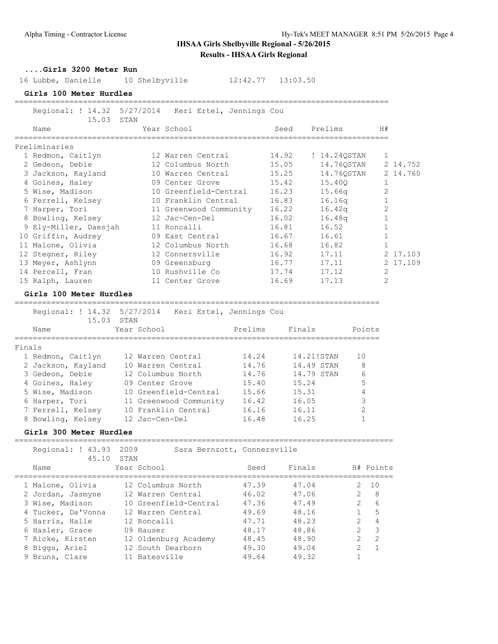| Girls 3200 Meter Run    |                                                              |         |            |                |                |          |
|-------------------------|--------------------------------------------------------------|---------|------------|----------------|----------------|----------|
| 16 Lubbe, Danielle      | 10 Shelbyville                                               |         |            |                |                |          |
| Girls 100 Meter Hurdles |                                                              |         |            |                |                |          |
| 15.03                   | Regional: ! 14.32 5/27/2014 Keri Ertel, Jennings Cou<br>STAN |         |            |                |                |          |
| Name                    | Year School                                                  |         | Seed       | Prelims        | H#             |          |
| Preliminaries           |                                                              |         |            |                |                |          |
| 1 Redmon, Caitlyn       | 12 Warren Central                                            |         | 14.92      | ! 14.24QSTAN   | 1              |          |
| 2 Gedeon, Debie         | 12 Columbus North                                            |         | 15.05      | 14.76QSTAN     |                | 2 14.752 |
| 3 Jackson, Kayland      | 10 Warren Central                                            |         | 15.25      | 14.76QSTAN     |                | 2 14.760 |
| 4 Goines, Haley         | 09 Center Grove                                              |         | 15.42      | 15.400         | $\mathbf{1}$   |          |
| 5 Wise, Madison         | 10 Greenfield-Central                                        |         | 16.23      | 15.66q         | 2              |          |
| 6 Ferrell, Kelsey       | 10 Franklin Central                                          |         | 16.83      | 16.16q         | 1              |          |
| 7 Harper, Tori          | 11 Greenwood Community 16.22                                 |         |            | 16.42q         | 2              |          |
| 8 Bowling, Kelsey       | 12 Jac-Cen-Del                                               |         | 16.02      | 16.48q         | $\mathbf{1}$   |          |
| 9 Ely-Miller, Daesjah   | 11 Roncalli                                                  |         | 16.81      | 16.52          | $\mathbf{1}$   |          |
| 10 Griffin, Audrey      | 09 East Central                                              |         | 16.67      | 16.61          | $\mathbf{1}$   |          |
| 11 Malone, Olivia       | 12 Columbus North                                            |         | 16.68      | 16.82          | $\mathbf{1}$   |          |
| 12 Stegner, Riley       | 12 Connersville                                              |         | 16.92      | 17.11          |                | 2 17.103 |
| 13 Meyer, Ashlynn       | 09 Greensburg                                                |         | 16.77      | 17.11          |                | 2 17.109 |
| 14 Percell, Fran        | 10 Rushville Co                                              |         | 17.74      | 17.12          | 2              |          |
| 15 Ralph, Lauren        | 11 Center Grove                                              |         | 16.69      | 17.13          | 2              |          |
| Girls 100 Meter Hurdles |                                                              |         |            |                |                |          |
|                         | Regional: ! 14.32 5/27/2014 Keri Ertel, Jennings Cou         |         |            |                |                |          |
| 15.03                   | STAN                                                         |         |            |                |                |          |
| Name                    | Year School                                                  | Prelims | Finals     |                | Points         |          |
|                         |                                                              |         |            |                |                |          |
| Finals                  |                                                              |         |            |                |                |          |
| 1 Redmon, Caitlyn       | 12 Warren Central                                            | 14.24   | 14.21!STAN | 10             |                |          |
| 2 Jackson, Kayland      | 10 Warren Central                                            | 14.76   | 14.49 STAN |                | 8              |          |
| 3 Gedeon, Debie         | 12 Columbus North                                            | 14.76   | 14.79 STAN |                | 6              |          |
| 4 Goines, Haley         | 09 Center Grove                                              | 15.40   | 15.24      |                | $\mathsf S$    |          |
| 5 Wise, Madison         | 10 Greenfield-Central                                        | 15.66   | 15.31      |                | 4              |          |
| 6 Harper, Tori          | 11 Greenwood Community                                       | 16.42   | 16.05      |                | $\mathsf 3$    |          |
| 7 Ferrell, Kelsey       | 10 Franklin Central                                          | 16.16   | 16.11      |                | 2              |          |
| 8 Bowling, Kelsey       | 12 Jac-Cen-Del                                               | 16.48   | 16.25      |                | $\mathbf{1}$   |          |
| Girls 300 Meter Hurdles |                                                              |         |            |                |                |          |
| Regional: ! 43.93       | 2009<br>Sara Bernzott, Connersville                          |         |            |                |                |          |
| 45.10                   | STAN                                                         |         |            |                |                |          |
| Name<br>=======         | Year School                                                  | Seed    | Finals     |                | H# Points      |          |
| 1 Malone, Olivia        | 12 Columbus North                                            | 47.39   | 47.04      | 2.             | 10             |          |
| 2 Jordan, Jasmyne       | 12 Warren Central                                            | 46.02   | 47.06      | $\overline{2}$ | 8              |          |
| 3 Wise, Madison         | 10 Greenfield-Central                                        | 47.36   | 47.49      | $\overline{2}$ | 6              |          |
| 4 Tucker, Da'Vonna      | 12 Warren Central                                            | 49.69   | 48.16      | $\mathbf{1}$   | 5              |          |
| 5 Harris, Halle         | 12 Roncalli                                                  | 47.71   | 48.23      | $\overline{2}$ | $\overline{4}$ |          |
| 6 Hasler, Grace         | 09 Hauser                                                    | 48.17   | 48.86      | $\mathbf{2}$   | $\mathfrak{Z}$ |          |
| 7 Ricke, Kirsten        | 12 Oldenburg Academy                                         | 48.45   | 48.90      | $\overline{2}$ | $\mathbf{2}$   |          |
| 8 Biggs, Ariel          | 12 South Dearborn                                            | 49.30   | 49.04      | 2              | $\mathbf{1}$   |          |
| 9 Bruns, Clare          | 11 Batesville                                                | 49.64   | 49.32      | 1              |                |          |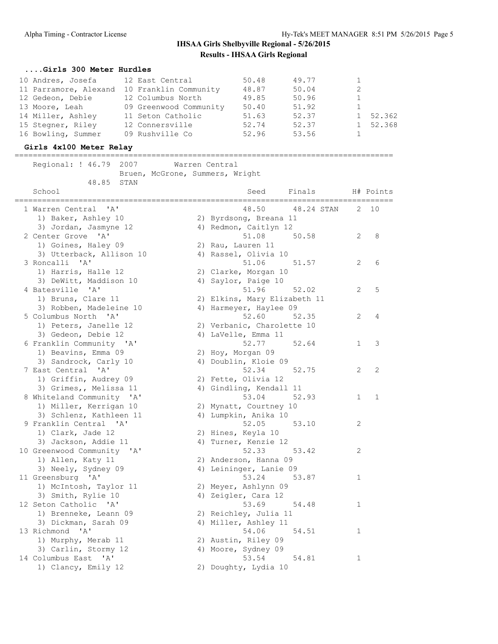## **....Girls 300 Meter Hurdles**

| 10 Andres, Josefa     | 12 East Central        | 50.48 | 49.77 |   |          |
|-----------------------|------------------------|-------|-------|---|----------|
| 11 Parramore, Alexand | 10 Franklin Community  | 48.87 | 50.04 | 2 |          |
| 12 Gedeon, Debie      | 12 Columbus North      | 49.85 | 50.96 |   |          |
| 13 Moore, Leah        | 09 Greenwood Community | 50.40 | 51.92 |   |          |
| 14 Miller, Ashley     | 11 Seton Catholic      | 51.63 | 52.37 |   | 1 52.362 |
| 15 Stegner, Riley     | 12 Connersville        | 52.74 | 52.37 |   | 1 52.368 |
| 16 Bowling, Summer    | 09 Rushville Co        | 52.96 | 53.56 |   |          |

## **Girls 4x100 Meter Relay**

| Regional: ! 46.79 2007                                                       | Warren Central<br>Bruen, McGrone, Summers, Wright |                                                                     |                       |              |
|------------------------------------------------------------------------------|---------------------------------------------------|---------------------------------------------------------------------|-----------------------|--------------|
| 48.85<br>STAN<br>School                                                      |                                                   | Finals H# Points<br>Seed<br>________________                        |                       |              |
| 1 Warren Central 'A'<br>1) Baker, Ashley 10                                  |                                                   | 48.50<br>48.24 STAN<br>2) Byrdsong, Breana 11                       | 2                     | 10           |
| 3) Jordan, Jasmyne 12<br>2 Center Grove 'A'                                  |                                                   | 4) Redmon, Caitlyn 12<br>51.08<br>50.58                             | 2                     | 8            |
| 1) Goines, Haley 09<br>3) Utterback, Allison 10                              |                                                   | 2) Rau, Lauren 11<br>4) Rassel, Olivia 10                           |                       |              |
| 3 Roncalli 'A'<br>1) Harris, Halle 12<br>3) DeWitt, Maddison 10              |                                                   | 51.06<br>51.57<br>2) Clarke, Morgan 10<br>4) Saylor, Paige 10       | 2                     | 6            |
| 4 Batesville 'A'<br>1) Bruns, Clare 11                                       |                                                   | 51.96<br>52.02<br>2) Elkins, Mary Elizabeth 11                      | 2                     | 5            |
| 3) Robben, Madeleine 10                                                      |                                                   | 4) Harmeyer, Haylee 09                                              |                       |              |
| 5 Columbus North 'A'<br>1) Peters, Janelle 12<br>3) Gedeon, Debie 12         |                                                   | 52.60<br>52.35<br>2) Verbanic, Charolette 10<br>4) LaVelle, Emma 11 | $\overline{2}$        | 4            |
| 6 Franklin Community 'A'<br>1) Beavins, Emma 09                              |                                                   | 52.77<br>52.64<br>2) Hoy, Morgan 09                                 | $\mathbf{1}$          | 3            |
| 3) Sandrock, Carly 10<br>7 East Central 'A'                                  |                                                   | 4) Doublin, Kloie 09<br>52.34 52.75                                 | $\mathbf{2}^{\prime}$ | 2            |
| 1) Griffin, Audrey 09<br>3) Grimes,, Melissa 11<br>8 Whiteland Community 'A' |                                                   | 2) Fette, Olivia 12<br>4) Gindling, Kendall 11<br>53.04<br>52.93    | $\mathbf{1}$          | $\mathbf{1}$ |
| 1) Miller, Kerrigan 10<br>3) Schlenz, Kathleen 11                            |                                                   | 2) Mynatt, Courtney 10<br>4) Lumpkin, Anika 10                      |                       |              |
| 9 Franklin Central 'A'<br>1) Clark, Jade 12                                  |                                                   | 52.05<br>53.10<br>2) Hines, Keyla 10                                | 2                     |              |
| 3) Jackson, Addie 11<br>10 Greenwood Community 'A'                           |                                                   | 4) Turner, Kenzie 12<br>52.33<br>53.42                              | 2                     |              |
| 1) Allen, Katy 11<br>3) Neely, Sydney 09<br>11 Greensburg 'A'                |                                                   | 2) Anderson, Hanna 09<br>4) Leininger, Lanie 09<br>53.24<br>53.87   | $\mathbf{1}$          |              |
| 1) McIntosh, Taylor 11<br>3) Smith, Rylie 10                                 |                                                   | 2) Meyer, Ashlynn 09<br>4) Zeigler, Cara 12                         |                       |              |
| 12 Seton Catholic 'A'<br>1) Brenneke, Leann 09                               |                                                   | 53.69<br>54.48<br>2) Reichley, Julia 11                             | 1                     |              |
| 3) Dickman, Sarah 09<br>13 Richmond 'A'<br>1) Murphy, Merab 11               |                                                   | 4) Miller, Ashley 11<br>54.06<br>54.51<br>2) Austin, Riley 09       | $\mathbf{1}$          |              |
| 3) Carlin, Stormy 12<br>14 Columbus East 'A'                                 |                                                   | 4) Moore, Sydney 09<br>53.54<br>54.81                               | 1                     |              |
| 1) Clancy, Emily 12                                                          |                                                   | 2) Doughty, Lydia 10                                                |                       |              |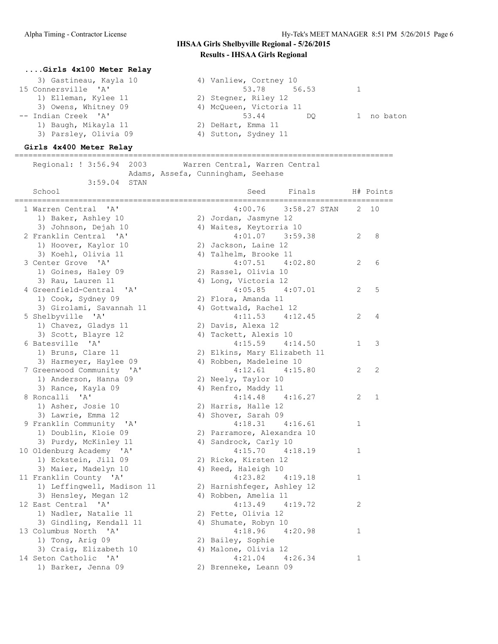| Girls 4x100 Meter Relay                                   |                                              |              |              |
|-----------------------------------------------------------|----------------------------------------------|--------------|--------------|
| 3) Gastineau, Kayla 10                                    | 4) Vanliew, Cortney 10                       |              |              |
| 15 Connersville 'A'                                       | 53.78<br>56.53                               | 1            |              |
| 1) Elleman, Kylee 11                                      | 2) Stegner, Riley 12                         |              |              |
| 3) Owens, Whitney 09                                      | 4) McQueen, Victoria 11                      |              |              |
| -- Indian Creek 'A'                                       | 53.44<br>DO.                                 | $\mathbf{1}$ | no baton     |
| 1) Baugh, Mikayla 11                                      | 2) DeHart, Emma 11                           |              |              |
| 3) Parsley, Olivia 09                                     | 4) Sutton, Sydney 11                         |              |              |
| Girls 4x400 Meter Relay                                   |                                              |              |              |
| Regional: ! 3:56.94<br>2003                               | Warren Central, Warren Central               |              |              |
|                                                           | Adams, Assefa, Cunningham, Seehase           |              |              |
| 3:59.04<br>STAN                                           |                                              |              |              |
| School                                                    | Seed<br>Finals                               |              | H# Points    |
|                                                           |                                              |              |              |
| 1 Warren Central 'A'                                      | 4:00.76<br>3:58.27 STAN                      |              | 2 10         |
| 1) Baker, Ashley 10                                       | 2) Jordan, Jasmyne 12                        |              |              |
| 3) Johnson, Dejah 10<br>2 Franklin Central 'A'            | 4) Waites, Keytorria 10<br>$4:01.07$ 3:59.38 | 2            | 8            |
|                                                           |                                              |              |              |
| 1) Hoover, Kaylor 10                                      | 2) Jackson, Laine 12                         |              |              |
| 3) Koehl, Olivia 11<br>3 Center Grove 'A'                 | 4) Talhelm, Brooke 11<br>$4:07.51$ $4:02.80$ |              | 6            |
|                                                           |                                              | 2            |              |
| 1) Goines, Haley 09                                       | 2) Rassel, Olivia 10                         |              |              |
| 3) Rau, Lauren 11<br>4 Greenfield-Central<br>$\mathsf{A}$ | 4) Long, Victoria 12<br>$4:05.85$ $4:07.01$  |              | 5            |
|                                                           |                                              | 2            |              |
| 1) Cook, Sydney 09                                        | 2) Flora, Amanda 11                          |              |              |
| 3) Girolami, Savannah 11                                  | 4) Gottwald, Rachel 12                       |              | 4            |
| 5 Shelbyville 'A'                                         | $4:11.53$ $4:12.45$                          | 2            |              |
| 1) Chavez, Gladys 11                                      | 2) Davis, Alexa 12                           |              |              |
| 3) Scott, Blayre 12                                       | 4) Tackett, Alexis 10                        |              |              |
| 6 Batesville 'A'                                          | $4:15.59$ $4:14.50$                          | 1            | 3            |
| 1) Bruns, Clare 11                                        | 2) Elkins, Mary Elizabeth 11                 |              |              |
| 3) Harmeyer, Haylee 09                                    | 4) Robben, Madeleine 10                      |              |              |
| 7 Greenwood Community 'A'                                 | $4:12.61$ $4:15.80$                          | 2            | 2            |
| 1) Anderson, Hanna 09                                     | 2) Neely, Taylor 10                          |              |              |
| 3) Rance, Kayla 09<br>8 Roncalli 'A'                      | 4) Renfro, Maddy 11<br>$4:14.48$ $4:16.27$   | 2            | $\mathbf{1}$ |
| 1) Asher, Josie 10                                        | 2) Harris, Halle 12                          |              |              |
| 3) Lawrie, Emma 12                                        | 4) Shover, Sarah 09                          |              |              |
| 9 Franklin Community 'A'                                  | $4:18.31$ $4:16.61$                          | 1            |              |
| 1) Doublin, Kloie 09                                      | 2) Parramore, Alexandra 10                   |              |              |
| 3) Purdy, McKinley 11                                     | 4) Sandrock, Carly 10                        |              |              |
| 10 Oldenburg Academy 'A'                                  | 4:18.19<br>4:15.70                           | 1            |              |
| 1) Eckstein, Jill 09                                      | 2) Ricke, Kirsten 12                         |              |              |
| 3) Maier, Madelyn 10                                      | 4) Reed, Haleigh 10                          |              |              |
| 11 Franklin County 'A'                                    | 4:23.82<br>4:19.18                           | 1            |              |
| 1) Leffingwell, Madison 11                                | 2) Harnishfeger, Ashley 12                   |              |              |
| 3) Hensley, Megan 12                                      | 4) Robben, Amelia 11                         |              |              |
| 12 East Central 'A'                                       | 4:13.49<br>4:19.72                           | 2            |              |
| 1) Nadler, Natalie 11                                     | 2) Fette, Olivia 12                          |              |              |
| 3) Gindling, Kendall 11                                   | 4) Shumate, Robyn 10                         |              |              |
| 13 Columbus North 'A'                                     | 4:18.96<br>4:20.98                           | 1            |              |
| 1) Tong, Arig 09                                          | 2) Bailey, Sophie                            |              |              |
| 3) Craig, Elizabeth 10                                    | 4) Malone, Olivia 12                         |              |              |
| 14 Seton Catholic 'A'                                     | 4:21.04<br>4:26.34                           | 1            |              |
| 1) Barker, Jenna 09                                       | 2) Brenneke, Leann 09                        |              |              |
|                                                           |                                              |              |              |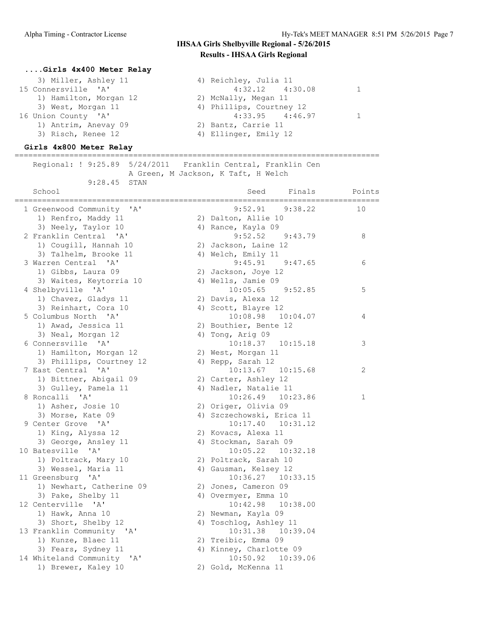## **....Girls 4x400 Meter Relay** 3) Miller, Ashley 11 4) Reichley, Julia 11 4:32.12 4:30.08 1 15 Connersville 'A' 4:32.12 4:30.08 1 1) Hamilton, Morgan 12 2) McNally, Megan 11 3) West, Morgan 11 4) Phillips, Courtney 12 16 Union County 'A' 4:33.95 4:46.97 1 1) Antrim, Anevay 09 2) Bantz, Carrie 11 3) Risch, Renee 12 4) Ellinger, Emily 12

### **Girls 4x800 Meter Relay**

================================================================================ Regional: ! 9:25.89 5/24/2011 Franklin Central, Franklin Cen A Green, M Jackson, K Taft, H Welch 9:28.45 STAN

| School<br>:==========                         | Seed<br>Finals            | Points |
|-----------------------------------------------|---------------------------|--------|
| 1 Greenwood Community 'A'                     | 9:52.91<br>9:38.22        | 10     |
| 1) Renfro, Maddy 11                           | 2) Dalton, Allie 10       |        |
| 3) Neely, Taylor 10                           | 4) Rance, Kayla 09        |        |
| 2 Franklin Central 'A'                        | 9:52.52<br>9:43.79        | 8      |
| 1) Cougill, Hannah 10                         | 2) Jackson, Laine 12      |        |
| 3) Talhelm, Brooke 11                         | 4) Welch, Emily 11        |        |
| 3 Warren Central<br>$^{\prime}$ A $^{\prime}$ | $9:45.91$ $9:47.65$       | 6      |
| 1) Gibbs, Laura 09                            | 2) Jackson, Joye 12       |        |
| 3) Waites, Keytorria 10                       | 4) Wells, Jamie 09        |        |
| 4 Shelbyville 'A'                             | $10:05.65$ $9:52.85$      | 5      |
| 1) Chavez, Gladys 11                          | 2) Davis, Alexa 12        |        |
| 3) Reinhart, Cora 10                          | 4) Scott, Blayre 12       |        |
| 5 Columbus North 'A'                          | 10:08.98<br>10:04.07      | 4      |
| 1) Awad, Jessica 11                           | 2) Bouthier, Bente 12     |        |
| 3) Neal, Morgan 12                            | 4) Tong, Arig 09          |        |
| 6 Connersville<br>$^{\prime}$ A $^{\prime}$   | $10:18.37$ $10:15.18$     | 3      |
| 1) Hamilton, Morgan 12                        | 2) West, Morgan 11        |        |
| 3) Phillips, Courtney 12                      | 4) Repp, Sarah 12         |        |
| 7 East Central 'A'                            | $10:13.67$ $10:15.68$     | 2      |
| 1) Bittner, Abigail 09                        | 2) Carter, Ashley 12      |        |
| 3) Gulley, Pamela 11                          | 4) Nadler, Natalie 11     |        |
| 8 Roncalli 'A'                                | 10:26.49 10:23.86         | 1      |
| 1) Asher, Josie 10                            | 2) Origer, Olivia 09      |        |
| 3) Morse, Kate 09                             | 4) Szczechowski, Erica 11 |        |
| 9 Center Grove 'A'                            | $10:17.40$ $10:31.12$     |        |
| 1) King, Alyssa 12                            | 2) Kovacs, Alexa 11       |        |
| 3) George, Ansley 11                          | 4) Stockman, Sarah 09     |        |
| 10 Batesville 'A'                             | $10:05.22$ $10:32.18$     |        |
| 1) Poltrack, Mary 10                          | 2) Poltrack, Sarah 10     |        |
| 3) Wessel, Maria 11                           | 4) Gausman, Kelsey 12     |        |
| 11 Greensburg 'A'                             | $10:36.27$ $10:33.15$     |        |
| 1) Newhart, Catherine 09                      | 2) Jones, Cameron 09      |        |
| 3) Pake, Shelby 11                            | 4) Overmyer, Emma 10      |        |
| 12 Centerville 'A'                            | 10:42.98  10:38.00        |        |
| 1) Hawk, Anna 10                              | 2) Newman, Kayla 09       |        |
| 3) Short, Shelby 12                           | 4) Toschlog, Ashley 11    |        |
| 13 Franklin Community 'A'                     | 10:31.38  10:39.04        |        |
| 1) Kunze, Blaec 11                            | 2) Treibic, Emma 09       |        |
| 3) Fears, Sydney 11                           | 4) Kinney, Charlotte 09   |        |
| 14 Whiteland Community 'A'                    | 10:50.92  10:39.06        |        |
| 1) Brewer, Kaley 10                           | 2) Gold, McKenna 11       |        |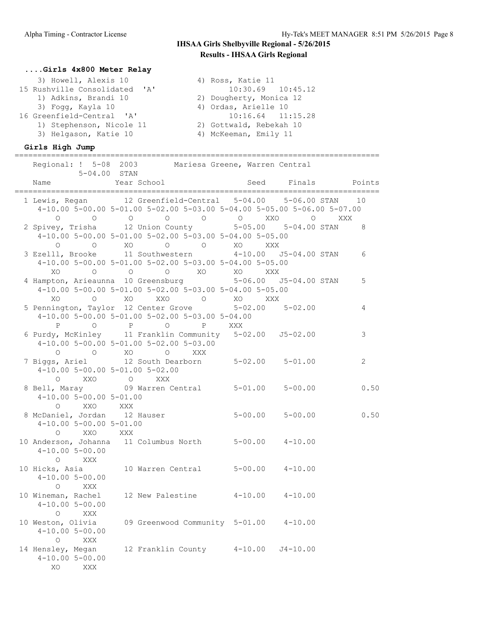================================================================================

### **....Girls 4x800 Meter Relay**

| 3) Howell, Alexis 10          | 4) Ross, Katie 11       |
|-------------------------------|-------------------------|
| 15 Rushville Consolidated 'A' | $10:30.69$ $10:45.12$   |
| 1) Adkins, Brandi 10          | 2) Dougherty, Monica 12 |
| 3) Foqq, Kayla 10             | 4) Ordas, Arielle 10    |
| 16 Greenfield-Central 'A'     | $10:16.64$ $11:15.28$   |
| 1) Stephenson, Nicole 11      | 2) Gottwald, Rebekah 10 |
| 3) Helgason, Katie 10         | 4) McKeeman, Emily 11   |

## **Girls High Jump**

| Regional: ! 5-08 2003 Mariesa Greene, Warren Central<br>5-04.00 STAN                                                                                                                     |                |
|------------------------------------------------------------------------------------------------------------------------------------------------------------------------------------------|----------------|
| Year School<br>Seed Finals<br>Name<br>______________________                                                                                                                             | Points         |
| 1 Lewis, Regan 12 Greenfield-Central 5-04.00 5-06.00 STAN<br>4-10.00 5-00.00 5-01.00 5-02.00 5-03.00 5-04.00 5-05.00 5-06.00 5-07.00                                                     | 10             |
| $0$ 0 0 0 0 0 0 0 XXO 0 XXX<br>2 Spivey, Trisha 12 Union County 5-05.00 5-04.00 STAN<br>4-10.00 5-00.00 5-01.00 5-02.00 5-03.00 5-04.00 5-05.00<br>O O XO XXX<br><b>O</b> XO<br>$\Omega$ | 8              |
| 3 Ezelll, Brooke 11 Southwestern 4-10.00 J5-04.00 STAN<br>4-10.00 5-00.00 5-01.00 5-02.00 5-03.00 5-04.00 5-05.00<br>XO O O O XO XO<br>XXX                                               | 6              |
| 4 Hampton, Arieaunna 10 Greensburg 5-06.00 J5-04.00 STAN<br>4-10.00 5-00.00 5-01.00 5-02.00 5-03.00 5-04.00 5-05.00<br>0 XO XXO O XO XXX<br>$X \cap$                                     | 5              |
| 5 Pennington, Taylor 12 Center Grove 5-02.00 5-02.00<br>4-10.00 5-00.00 5-01.00 5-02.00 5-03.00 5-04.00<br>P 0 P 0<br>P XXX                                                              | $\overline{4}$ |
| 6 Purdy, McKinley 11 Franklin Community 5-02.00 J5-02.00<br>$4-10.00$ 5-00.00 5-01.00 5-02.00 5-03.00<br>$O$ $O$ $XO$ $O$<br>XXX                                                         | 3              |
| 7 Biggs, Ariel 12 South Dearborn 5-02.00 5-01.00<br>4-10.00 5-00.00 5-01.00 5-02.00                                                                                                      | $\overline{2}$ |
| 0 XXO 0 XXX<br>8 Bell, Maray 09 Warren Central 5-01.00 5-00.00<br>$4-10.00$ 5-00.00 5-01.00<br>O XXO XXX                                                                                 | 0.50           |
| 8 McDaniel, Jordan 12 Hauser 5-00.00 5-00.00<br>$4-10.00$ 5-00.00 5-01.00<br>O XXO XXX                                                                                                   | 0.50           |
| 10 Anderson, Johanna 11 Columbus North 5-00.00 4-10.00<br>$4 - 10.00$ 5-00.00<br>$O$ XXX                                                                                                 |                |
| 10 Hicks, Asia 10 Warren Central 5-00.00 4-10.00<br>$4 - 10.005 - 00.00$<br>O XXX                                                                                                        |                |
| 10 Wineman, Rachel<br>12 New Palestine 4-10.00 4-10.00<br>$4 - 10.005 - 00.00$<br>O XXX                                                                                                  |                |
| 10 Weston, Olivia 09 Greenwood Community 5-01.00 4-10.00<br>$4 - 10.00$ 5-00.00<br>$\circ$<br>XXX                                                                                        |                |
| 14 Hensley, Megan<br>12 Franklin County 4-10.00 J4-10.00<br>$4-10.005-00.00$<br>XO.<br>XXX                                                                                               |                |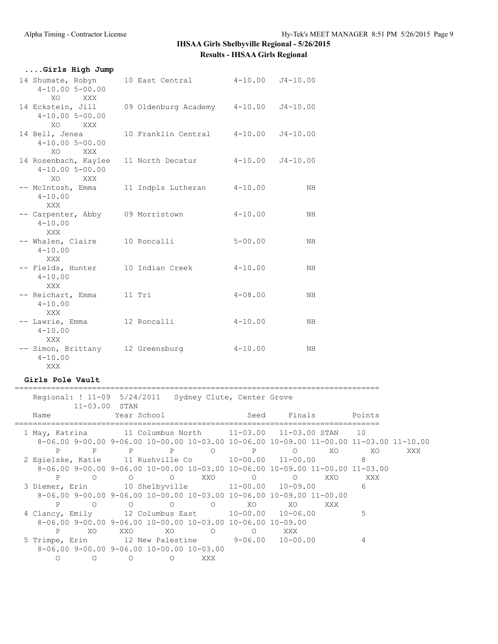| Girls High Jump                                           |                      |             |              |
|-----------------------------------------------------------|----------------------|-------------|--------------|
| 14 Shumate, Robyn<br>$4 - 10.00$ 5-00.00<br>XO<br>XXX     | 10 East Central      | $4 - 10.00$ | $J4 - 10.00$ |
| 14 Eckstein, Jill<br>$4 - 10.00$ 5-00.00<br>XO<br>XXX X   | 09 Oldenburg Academy | $4 - 10.00$ | $J4 - 10.00$ |
| 14 Bell, Jenea<br>$4 - 10.00$ 5-00.00<br>XO.<br>XXX       |                      |             |              |
| 14 Rosenbach, Kaylee<br>$4 - 10.00$ 5-00.00<br>XO.<br>XXX | 11 North Decatur     | $4 - 10.00$ | $J4 - 10.00$ |
| -- McIntosh, Emma<br>$4 - 10.00$<br>XXX                   | 11 Indpls Lutheran   | $4 - 10.00$ | NH           |
| -- Carpenter, Abby<br>$4 - 10.00$<br><b>XXX</b>           | 09 Morristown        | $4 - 10.00$ | NH           |
| -- Whalen, Claire<br>$4 - 10.00$<br>XXX                   | 10 Roncalli          | $5 - 00.00$ | NH           |
| -- Fields, Hunter<br>$4 - 10.00$<br>XXX                   | 10 Indian Creek      | $4 - 10.00$ | NH           |
| -- Reichart, Emma<br>$4 - 10.00$<br>XXX                   | 11 Tri               | $4 - 08.00$ | NH           |
| -- Lawrie, Emma<br>$4 - 10.00$<br>XXX                     | 12 Roncalli          | $4 - 10.00$ | NH           |
| -- Simon, Brittany<br>$4 - 10.00$<br>XXX                  | 12 Greensburg        | $4 - 10.00$ | NH           |

#### **Girls Pole Vault** ================================================================================

 Regional: ! 11-09 5/24/2011 Sydney Clute, Center Grove 11-03.00 STAN Name Year School Seed Finals Points ================================================================================ 1 May, Katrina 11 Columbus North 11-03.00 11-03.00 STAN 10 8-06.00 9-00.00 9-06.00 10-00.00 10-03.00 10-06.00 10-09.00 11-00.00 11-03.00 11-10.00 P P P P O P O XO XO XXX 2 Egielske, Katie 11 Rushville Co 10-00.00 11-00.00 8 8-06.00 9-00.00 9-06.00 10-00.00 10-03.00 10-06.00 10-09.00 11-00.00 11-03.00 P O O O XXO O O XXO XXX 3 Diemer, Erin 10 Shelbyville 11-00.00 10-09.00 6 8-06.00 9-00.00 9-06.00 10-00.00 10-03.00 10-06.00 10-09.00 11-00.00 P O O O O XO XO XXX 4 Clancy, Emily 12 Columbus East 10-00.00 10-06.00 5 8-06.00 9-00.00 9-06.00 10-00.00 10-03.00 10-06.00 10-09.00 P XO XXO XO O O XXX 5 Trimpe, Erin 12 New Palestine 9-06.00 10-00.00 4 8-06.00 9-00.00 9-06.00 10-00.00 10-03.00 O O O O XXX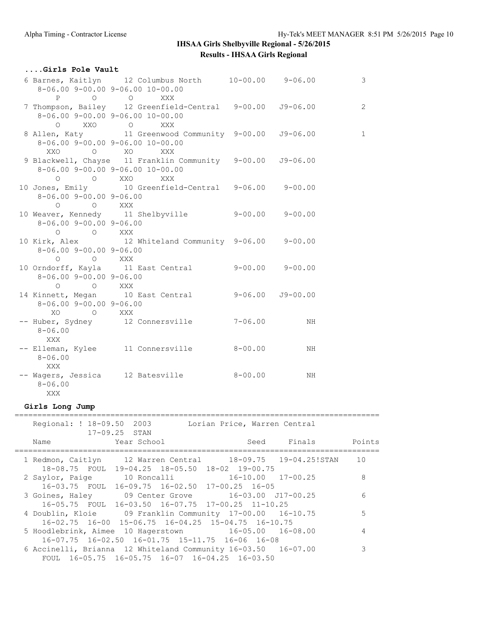| Girls Pole Vault                        |                                                                                                                 |     |                |
|-----------------------------------------|-----------------------------------------------------------------------------------------------------------------|-----|----------------|
|                                         | 6 Barnes, Kaitlyn 12 Columbus North 10-00.00 9-06.00<br>$8-06.00$ 9-00.00 9-06.00 10-00.00                      |     | $\mathcal{S}$  |
|                                         | P O O XXX                                                                                                       |     |                |
| O XXO O                                 | 7 Thompson, Bailey 12 Greenfield-Central 9-00.00 J9-06.00<br>$8-06.00$ 9-00.00 9-06.00 10-00.00<br><b>XXX</b>   |     | $\overline{c}$ |
|                                         | 8 Allen, Katy 11 Greenwood Community 9-00.00 J9-06.00<br>$8-06.00$ 9-00.00 9-06.00 10-00.00<br>XXO O XO XXX     |     | $\mathbf{1}$   |
|                                         | 9 Blackwell, Chayse 11 Franklin Community 9-00.00 J9-06.00<br>$8-06.00$ 9-00.00 9-06.00 10-00.00<br>O O XXO XXX |     |                |
| $8 - 06.00$ 9-00.00 9-06.00<br>O O XXX  | 10 Jones, Emily 10 Greenfield-Central 9-06.00 9-00.00                                                           |     |                |
| $8 - 06.00$ 9-00.00 9-06.00<br>O O XXX  | 10 Weaver, Kennedy 11 Shelbyville 9-00.00 9-00.00                                                               |     |                |
| $8 - 06.00$ 9-00.00 9-06.00<br>O O XXX  | 10 Kirk, Alex 12 Whiteland Community 9-06.00 9-00.00                                                            |     |                |
| $8 - 06.00$ 9-00.00 9-06.00<br>O O XXX  | 10 Orndorff, Kayla 11 East Central 9-00.00 9-00.00                                                              |     |                |
| $8 - 06.00$ 9-00.00 9-06.00<br>XO O XXX | 14 Kinnett, Megan 10 East Central 9-06.00 J9-00.00                                                              |     |                |
| $8 - 06.00$<br>XXX                      | -- Huber, Sydney 12 Connersville 7-06.00                                                                        | NH. |                |
| $8 - 06.00$<br>XXX                      | -- Elleman, Kylee 11 Connersville 8-00.00                                                                       | NH  |                |
| $8 - 06.00$<br>XXX                      | -- Wagers, Jessica 12 Batesville 8-00.00                                                                        | NH. |                |

## **Girls Long Jump**

| Regional: ! 18-09.50 2003 | $17 - 09.25$ STAN                                                                                                          | Lorian Price, Warren Central |                    |    |
|---------------------------|----------------------------------------------------------------------------------------------------------------------------|------------------------------|--------------------|----|
| Name                      | Year School                                                                                                                |                              | Seed Finals Points |    |
|                           | 1 Redmon, Caitlyn 12 Warren Central 18-09.75 19-04.25!STAN<br>18-08.75 FOUL 19-04.25 18-05.50 18-02 19-00.75               |                              |                    | 10 |
|                           | 2 Saylor, Paige 10 Roncalli 16-10.00 17-00.25<br>16-03.75 FOUL 16-09.75 16-02.50 17-00.25 16-05                            |                              |                    | 8  |
|                           | 3 Goines, Haley 09 Center Grove 16-03.00 J17-00.25<br>16-05.75 FOUL 16-03.50 16-07.75 17-00.25 11-10.25                    |                              |                    | 6  |
|                           | 4 Doublin, Kloie 69 Franklin Community 17-00.00 16-10.75<br>$16-02.75$ $16-00$ $15-06.75$ $16-04.25$ $15-04.75$ $16-10.75$ |                              |                    | 5  |
|                           | 5 Hoodlebrink, Aimee 10 Hagerstown 16-05.00 16-08.00<br>16-07.75 16-02.50 16-01.75 15-11.75 16-06 16-08                    |                              |                    | 4  |
|                           | 6 Accinelli, Brianna 12 Whiteland Community 16-03.50 16-07.00<br>FOUL 16-05.75 16-05.75 16-07 16-04.25 16-03.50            |                              |                    | 3  |
|                           |                                                                                                                            |                              |                    |    |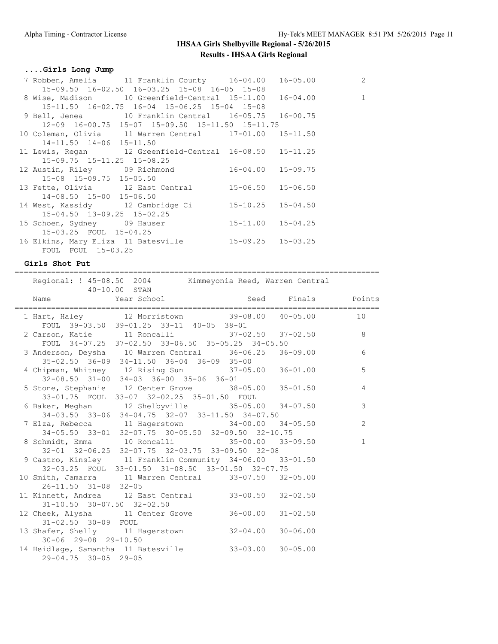#### **....Girls Long Jump**

| 7 Robben, Amelia 11 Franklin County 16-04.00 16-05.00    |  | 2            |
|----------------------------------------------------------|--|--------------|
| 15-09.50 16-02.50 16-03.25 15-08 16-05 15-08             |  |              |
|                                                          |  | $\mathbf{1}$ |
| $15-11.50$ $16-02.75$ $16-04$ $15-06.25$ $15-04$ $15-08$ |  |              |
| 9 Bell, Jenea 10 Franklin Central 16-05.75 16-00.75      |  |              |
| 12-09 16-00.75 15-07 15-09.50 15-11.50 15-11.75          |  |              |
| 10 Coleman, Olivia 11 Warren Central 17-01.00 15-11.50   |  |              |
| 14-11.50 14-06 15-11.50                                  |  |              |
| 11 Lewis, Regan 12 Greenfield-Central 16-08.50 15-11.25  |  |              |
| 15-09.75 15-11.25 15-08.25                               |  |              |
| 12 Austin, Riley 09 Richmond 16-04.00 15-09.75           |  |              |
| 15-08 15-09.75 15-05.50                                  |  |              |
| 13 Fette, Olivia 12 East Central 15-06.50 15-06.50       |  |              |
| 14-08.50 15-00 15-06.50                                  |  |              |
| 14 West, Kassidy 12 Cambridge Ci 15-10.25 15-04.50       |  |              |
| 15-04.50 13-09.25 15-02.25                               |  |              |
| 15 Schoen, Sydney 09 Hauser 15-11.00 15-04.25            |  |              |
| 15-03.25 FOUL 15-04.25                                   |  |              |
| 16 Elkins, Mary Eliza 11 Batesville 15-09.25 15-03.25    |  |              |
| FOUL FOUL 15-03.25                                       |  |              |

#### **Girls Shot Put**

================================================================================ Regional: ! 45-08.50 2004 Kimmeyonia Reed, Warren Central 40-10.00 STAN Name Year School Seed Finals Points ================================================================================

|                                        | 1 Hart, Haley 12 Morristown 39-08.00 40-05.00 10                                                      |  |                |
|----------------------------------------|-------------------------------------------------------------------------------------------------------|--|----------------|
|                                        | FOUL 39-03.50 39-01.25 33-11 40-05 38-01                                                              |  |                |
|                                        | 2 Carson, Katie 11 Roncalli 37-02.50 37-02.50                                                         |  | 8              |
|                                        | FOUL 34-07.25 37-02.50 33-06.50 35-05.25 34-05.50                                                     |  |                |
|                                        | 3 Anderson, Deysha 10 Warren Central 36-06.25 36-09.00                                                |  | 6              |
|                                        | 35-02.50 36-09 34-11.50 36-04 36-09 35-00                                                             |  |                |
|                                        | 4 Chipman, Whitney 12 Rising Sun 37-05.00 36-01.00                                                    |  | 5              |
|                                        | 32-08.50 31-00 34-03 36-00 35-06 36-01                                                                |  |                |
|                                        | 5 Stone, Stephanie 12 Center Grove 38-05.00 35-01.50                                                  |  | $\overline{4}$ |
|                                        | 33-01.75 FOUL 33-07 32-02.25 35-01.50 FOUL                                                            |  |                |
|                                        | 6 Baker, Meghan 12 Shelbyville 35-05.00 34-07.50                                                      |  | 3              |
|                                        | 34-03.50 33-06 34-04.75 32-07 33-11.50 34-07.50                                                       |  |                |
|                                        |                                                                                                       |  | $\overline{c}$ |
|                                        | 7 Elza, Rebecca 11 Hagerstown 34-00.00 34-05.50<br>34-05.50 33-01 32-07.75 30-05.50 32-09.50 32-10.75 |  |                |
|                                        | 8 Schmidt, Emma 10 Roncalli 35-00.00 33-09.50                                                         |  | $\mathbf{1}$   |
|                                        | 32-01 32-06.25 32-07.75 32-03.75 33-09.50 32-08                                                       |  |                |
|                                        | 9 Castro, Kinsley 11 Franklin Community 34-06.00 33-01.50                                             |  |                |
|                                        | 32-03.25 FOUL 33-01.50 31-08.50 33-01.50 32-07.75                                                     |  |                |
|                                        | 10 Smith, Jamarra 11 Warren Central 33-07.50 32-05.00                                                 |  |                |
| 26-11.50 31-08 32-05                   |                                                                                                       |  |                |
|                                        | 11 Kinnett, Andrea 12 East Central 33-00.50 32-02.50                                                  |  |                |
|                                        |                                                                                                       |  |                |
| $31 - 10.50$ $30 - 07.50$ $32 - 02.50$ |                                                                                                       |  |                |
|                                        | 12 Cheek, Alysha 11 Center Grove 36-00.00 31-02.50                                                    |  |                |
| 31-02.50 30-09 FOUL                    |                                                                                                       |  |                |
|                                        | 13 Shafer, Shelly 11 Hagerstown 32-04.00 30-06.00                                                     |  |                |
| 30-06 29-08 29-10.50                   |                                                                                                       |  |                |
|                                        | 14 Heidlage, Samantha 11 Batesville 33-03.00 30-05.00                                                 |  |                |
| 29-04.75 30-05 29-05                   |                                                                                                       |  |                |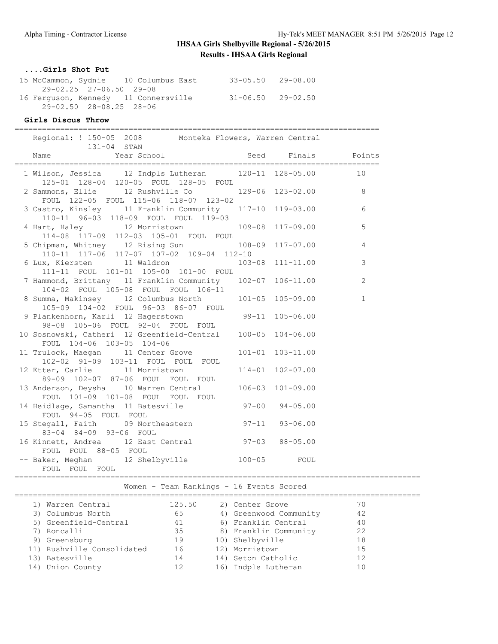#### **....Girls Shot Put**

|  | 15 McCammon, Sydnie 10 Columbus East | $33 - 05.50$ $29 - 08.00$ |
|--|--------------------------------------|---------------------------|
|  | 29-02.25 27-06.50 29-08              |                           |
|  | 16 Ferguson, Kennedy 11 Connersville | $31 - 06.50$ 29-02.50     |
|  | 29-02.50 28-08.25 28-06              |                           |

#### **Girls Discus Throw**

================================================================================

| 131-04 STAN<br>Name                                                                                                                                       |  |              |
|-----------------------------------------------------------------------------------------------------------------------------------------------------------|--|--------------|
| 1 Wilson, Jessica 12 Indpls Lutheran 120-11 128-05.00 10<br>125-01 128-04 120-05 FOUL 128-05 FOUL                                                         |  |              |
| 2 Sammons, Ellie 12 Rushville Co 129-06 123-02.00 8<br>FOUL 122-05 FOUL 115-06 118-07 123-02                                                              |  |              |
| 3 Castro, Kinsley 11 Franklin Community 117-10 119-03.00<br>110-11 96-03 118-09 FOUL FOUL 119-03                                                          |  | 6            |
| 4 Hart, Haley 12 Morristown 109-08 117-09.00<br>114-08 117-09 112-03 105-01 FOUL FOUL                                                                     |  | 5            |
| 5 Chipman, Whitney 12 Rising Sun 108-09 117-07.00<br>$110-11$ $117-06$ $117-07$ $107-02$ $109-04$ $112-10$                                                |  | 4            |
| 6 Lux, Kiersten 11 Waldron 103-08 111-11.00<br>111-11 FOUL 101-01 105-00 101-00 FOUL                                                                      |  | 3            |
| 7 Hammond, Brittany 11 Franklin Community 102-07 106-11.00<br>104-02 FOUL 105-08 FOUL FOUL 106-11<br>8 Summa, Makinsey 12 Columbus North 101-05 105-09.00 |  | 2            |
|                                                                                                                                                           |  | $\mathbf{1}$ |
| 105-09 104-02 FOUL 96-03 86-07 FOUL<br>9 Plankenhorn, Karli 12 Hagerstown 99-11 105-06.00<br>98-08 105-06 FOUL 92-04 FOUL FOUL                            |  |              |
| 10 Sosnowski, Catheri 12 Greenfield-Central 100-05 104-06.00<br>FOUL 104-06 103-05 104-06                                                                 |  |              |
| 11 Trulock, Maegan 11 Center Grove 101-01 103-11.00<br>102-02 91-09 103-11 FOUL FOUL FOUL                                                                 |  |              |
| 12 Etter, Carlie 11 Morristown 114-01 102-07.00<br>89-09 102-07 87-06 FOUL FOUL FOUL                                                                      |  |              |
| 13 Anderson, Deysha 10 Warren Central 106-03 101-09.00                                                                                                    |  |              |
| FOUL 101-09 101-08 FOUL FOUL FOUL<br>14 Heidlage, Samantha 11 Batesville 97-00 94-05.00<br>FOUL 94-05 FOUL FOUL                                           |  |              |
| 15 Stegall, Faith 09 Northeastern 97-11 93-06.00<br>83-04 84-09 93-06 FOUL                                                                                |  |              |
| 16 Kinnett, Andrea 12 East Central 97-03 88-05.00<br>FOUL FOUL 88-05 FOUL                                                                                 |  |              |
| -- Baker, Meghan 12 Shelbyville 100-05 FOUL<br>FOUL FOUL FOUL                                                                                             |  |              |

|  |  |  | Women - Team Rankings - 16 Events Scored |  |  |  |  |
|--|--|--|------------------------------------------|--|--|--|--|
|--|--|--|------------------------------------------|--|--|--|--|

| 1) Warren Central          | 125.50 | 2) Center Grove        | 70 |  |
|----------------------------|--------|------------------------|----|--|
| 3) Columbus North          | 65     | 4) Greenwood Community | 42 |  |
| 5) Greenfield-Central      | 41     | 6) Franklin Central    | 40 |  |
| 7) Roncalli                | 35     | 8) Franklin Community  | 22 |  |
| 9) Greensburg              | 19     | 10) Shelbyville        | 18 |  |
| 11) Rushville Consolidated | 16     | 12) Morristown         | 15 |  |
| 13) Batesville             | 14     | 14) Seton Catholic     | 12 |  |
| 14) Union County           | 12     | 16) Indpls Lutheran    | 10 |  |
|                            |        |                        |    |  |